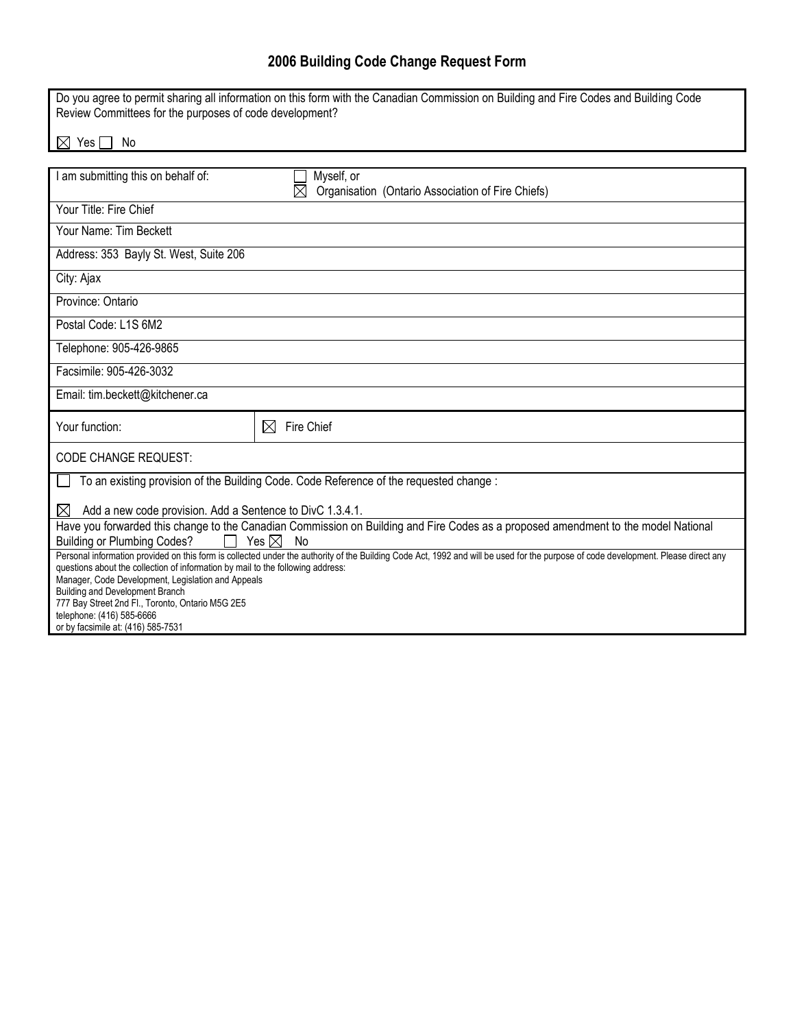## **2006 Building Code Change Request Form**

| Do you agree to permit sharing all information on this form with the Canadian Commission on Building and Fire Codes and Building Code<br>Review Committees for the purposes of code development?                                                  |                                                                                |  |
|---------------------------------------------------------------------------------------------------------------------------------------------------------------------------------------------------------------------------------------------------|--------------------------------------------------------------------------------|--|
| $\boxtimes$<br>Yes  <br>No                                                                                                                                                                                                                        |                                                                                |  |
|                                                                                                                                                                                                                                                   |                                                                                |  |
| I am submitting this on behalf of:                                                                                                                                                                                                                | Myself, or<br>$\boxtimes$<br>Organisation (Ontario Association of Fire Chiefs) |  |
| Your Title: Fire Chief                                                                                                                                                                                                                            |                                                                                |  |
| Your Name: Tim Beckett                                                                                                                                                                                                                            |                                                                                |  |
| Address: 353 Bayly St. West, Suite 206                                                                                                                                                                                                            |                                                                                |  |
| City: Ajax                                                                                                                                                                                                                                        |                                                                                |  |
| Province: Ontario                                                                                                                                                                                                                                 |                                                                                |  |
| Postal Code: L1S 6M2                                                                                                                                                                                                                              |                                                                                |  |
| Telephone: 905-426-9865                                                                                                                                                                                                                           |                                                                                |  |
| Facsimile: 905-426-3032                                                                                                                                                                                                                           |                                                                                |  |
| Email: tim.beckett@kitchener.ca                                                                                                                                                                                                                   |                                                                                |  |
| Your function:                                                                                                                                                                                                                                    | Fire Chief<br>$\boxtimes$                                                      |  |
| <b>CODE CHANGE REQUEST:</b>                                                                                                                                                                                                                       |                                                                                |  |
| To an existing provision of the Building Code. Code Reference of the requested change :                                                                                                                                                           |                                                                                |  |
| Add a new code provision. Add a Sentence to DivC 1.3.4.1.<br>$\bowtie$                                                                                                                                                                            |                                                                                |  |
| Have you forwarded this change to the Canadian Commission on Building and Fire Codes as a proposed amendment to the model National                                                                                                                |                                                                                |  |
| <b>Building or Plumbing Codes?</b><br>Yes $\boxtimes$<br>No<br>Personal information provided on this form is collected under the authority of the Building Code Act, 1992 and will be used for the purpose of code development. Please direct any |                                                                                |  |
| questions about the collection of information by mail to the following address:                                                                                                                                                                   |                                                                                |  |
| Manager, Code Development, Legislation and Appeals                                                                                                                                                                                                |                                                                                |  |
| Building and Development Branch<br>777 Bay Street 2nd Fl., Toronto, Ontario M5G 2E5                                                                                                                                                               |                                                                                |  |
| telephone: (416) 585-6666                                                                                                                                                                                                                         |                                                                                |  |
| or by facsimile at: (416) 585-7531                                                                                                                                                                                                                |                                                                                |  |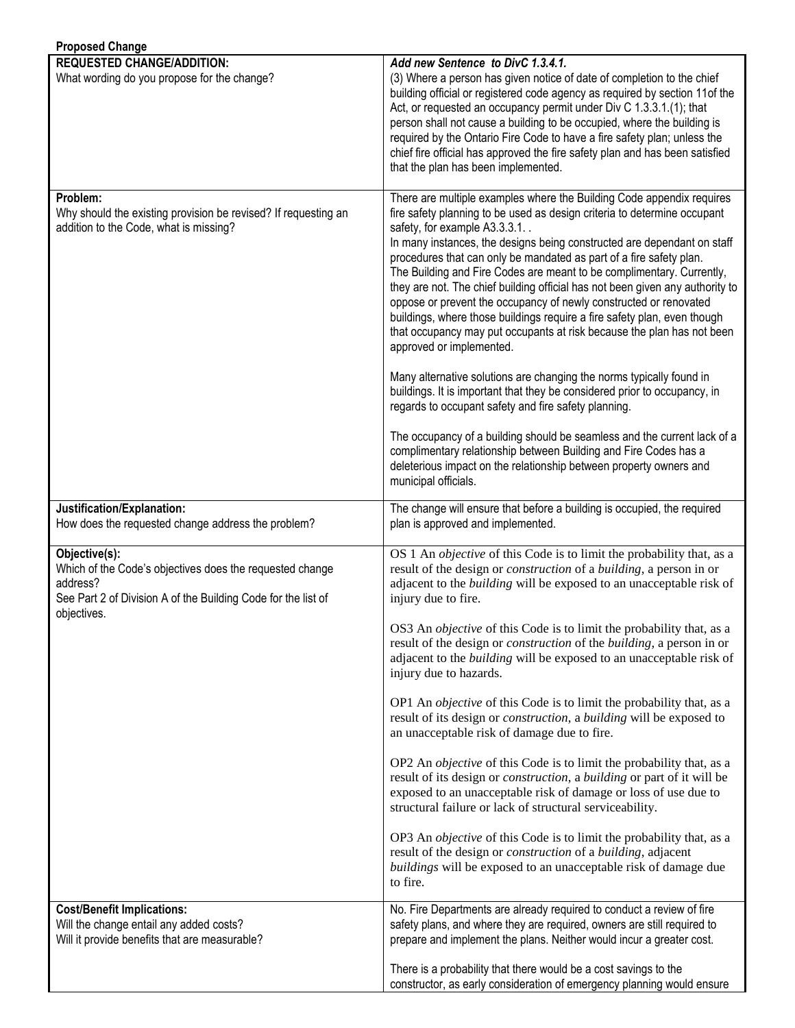| <b>Proposed Change</b>                                                                                                                                                |                                                                                                                                                                                                                                                                                                                                                                                                                                                                                                                                                                                                                                                                                                                                                                                                                                                                                                                                                                                                                                                                                                                                                                                         |
|-----------------------------------------------------------------------------------------------------------------------------------------------------------------------|-----------------------------------------------------------------------------------------------------------------------------------------------------------------------------------------------------------------------------------------------------------------------------------------------------------------------------------------------------------------------------------------------------------------------------------------------------------------------------------------------------------------------------------------------------------------------------------------------------------------------------------------------------------------------------------------------------------------------------------------------------------------------------------------------------------------------------------------------------------------------------------------------------------------------------------------------------------------------------------------------------------------------------------------------------------------------------------------------------------------------------------------------------------------------------------------|
| <b>REQUESTED CHANGE/ADDITION:</b><br>What wording do you propose for the change?                                                                                      | Add new Sentence to DivC 1.3.4.1.<br>(3) Where a person has given notice of date of completion to the chief<br>building official or registered code agency as required by section 11of the<br>Act, or requested an occupancy permit under Div C 1.3.3.1.(1); that<br>person shall not cause a building to be occupied, where the building is<br>required by the Ontario Fire Code to have a fire safety plan; unless the<br>chief fire official has approved the fire safety plan and has been satisfied<br>that the plan has been implemented.                                                                                                                                                                                                                                                                                                                                                                                                                                                                                                                                                                                                                                         |
| Problem:<br>Why should the existing provision be revised? If requesting an<br>addition to the Code, what is missing?                                                  | There are multiple examples where the Building Code appendix requires<br>fire safety planning to be used as design criteria to determine occupant<br>safety, for example A3.3.3.1<br>In many instances, the designs being constructed are dependant on staff<br>procedures that can only be mandated as part of a fire safety plan.<br>The Building and Fire Codes are meant to be complimentary. Currently,<br>they are not. The chief building official has not been given any authority to<br>oppose or prevent the occupancy of newly constructed or renovated<br>buildings, where those buildings require a fire safety plan, even though<br>that occupancy may put occupants at risk because the plan has not been<br>approved or implemented.<br>Many alternative solutions are changing the norms typically found in<br>buildings. It is important that they be considered prior to occupancy, in<br>regards to occupant safety and fire safety planning.<br>The occupancy of a building should be seamless and the current lack of a<br>complimentary relationship between Building and Fire Codes has a<br>deleterious impact on the relationship between property owners and |
|                                                                                                                                                                       | municipal officials.                                                                                                                                                                                                                                                                                                                                                                                                                                                                                                                                                                                                                                                                                                                                                                                                                                                                                                                                                                                                                                                                                                                                                                    |
| Justification/Explanation:<br>How does the requested change address the problem?                                                                                      | The change will ensure that before a building is occupied, the required<br>plan is approved and implemented.                                                                                                                                                                                                                                                                                                                                                                                                                                                                                                                                                                                                                                                                                                                                                                                                                                                                                                                                                                                                                                                                            |
| Objective(s):<br>Which of the Code's objectives does the requested change<br>address?<br>See Part 2 of Division A of the Building Code for the list of<br>objectives. | OS 1 An <i>objective</i> of this Code is to limit the probability that, as a<br>result of the design or <i>construction</i> of a <i>building</i> , a person in or<br>adjacent to the <i>building</i> will be exposed to an unacceptable risk of<br>injury due to fire.                                                                                                                                                                                                                                                                                                                                                                                                                                                                                                                                                                                                                                                                                                                                                                                                                                                                                                                  |
|                                                                                                                                                                       | OS3 An objective of this Code is to limit the probability that, as a<br>result of the design or <i>construction</i> of the <i>building</i> , a person in or<br>adjacent to the <i>building</i> will be exposed to an unacceptable risk of<br>injury due to hazards.                                                                                                                                                                                                                                                                                                                                                                                                                                                                                                                                                                                                                                                                                                                                                                                                                                                                                                                     |
|                                                                                                                                                                       | OP1 An <i>objective</i> of this Code is to limit the probability that, as a<br>result of its design or <i>construction</i> , a <i>building</i> will be exposed to<br>an unacceptable risk of damage due to fire.                                                                                                                                                                                                                                                                                                                                                                                                                                                                                                                                                                                                                                                                                                                                                                                                                                                                                                                                                                        |
|                                                                                                                                                                       | OP2 An <i>objective</i> of this Code is to limit the probability that, as a<br>result of its design or <i>construction</i> , a <i>building</i> or part of it will be<br>exposed to an unacceptable risk of damage or loss of use due to<br>structural failure or lack of structural serviceability.                                                                                                                                                                                                                                                                                                                                                                                                                                                                                                                                                                                                                                                                                                                                                                                                                                                                                     |
|                                                                                                                                                                       | OP3 An <i>objective</i> of this Code is to limit the probability that, as a<br>result of the design or <i>construction</i> of a <i>building</i> , adjacent<br>buildings will be exposed to an unacceptable risk of damage due<br>to fire.                                                                                                                                                                                                                                                                                                                                                                                                                                                                                                                                                                                                                                                                                                                                                                                                                                                                                                                                               |
| <b>Cost/Benefit Implications:</b><br>Will the change entail any added costs?<br>Will it provide benefits that are measurable?                                         | No. Fire Departments are already required to conduct a review of fire<br>safety plans, and where they are required, owners are still required to<br>prepare and implement the plans. Neither would incur a greater cost.                                                                                                                                                                                                                                                                                                                                                                                                                                                                                                                                                                                                                                                                                                                                                                                                                                                                                                                                                                |
|                                                                                                                                                                       | There is a probability that there would be a cost savings to the<br>constructor, as early consideration of emergency planning would ensure                                                                                                                                                                                                                                                                                                                                                                                                                                                                                                                                                                                                                                                                                                                                                                                                                                                                                                                                                                                                                                              |